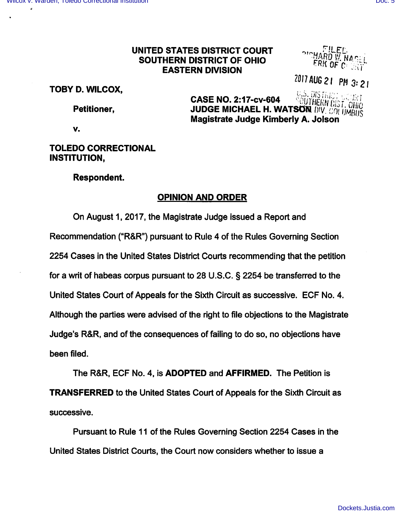#### UNITED STATES DISTRICT COURT SOUTHERN DISTRICT OF OHIO **EASTERN DIVISION**

2017 AUG 21 PM 3: 21

TOBY D. WILCOX,

Petitioner,

U.S. DISTRE **CASE NO. 2:17-cv-604** OUTHERN DIST. OHIO **JUDGE MICHAEL H. WATSON DIV. COLUMBILS** Magistrate Judge Kimberly A. Jolson

V.

## **TOLEDO CORRECTIONAL INSTITUTION.**

### **Respondent.**

# **OPINION AND ORDER**

On August 1, 2017, the Magistrate Judge issued a Report and Recommendation ("R&R") pursuant to Rule 4 of the Rules Governing Section 2254 Cases in the United States District Courts recommending that the petition for a writ of habeas corpus pursuant to 28 U.S.C. § 2254 be transferred to the United States Court of Appeals for the Sixth Circuit as successive. ECF No. 4. Although the parties were advised of the right to file objections to the Magistrate Judge's R&R, and of the consequences of failing to do so, no objections have been filed.

The R&R, ECF No. 4, is ADOPTED and AFFIRMED. The Petition is **TRANSFERRED** to the United States Court of Appeals for the Sixth Circuit as successive.

Pursuant to Rule 11 of the Rules Governing Section 2254 Cases in the United States District Courts, the Court now considers whether to issue a